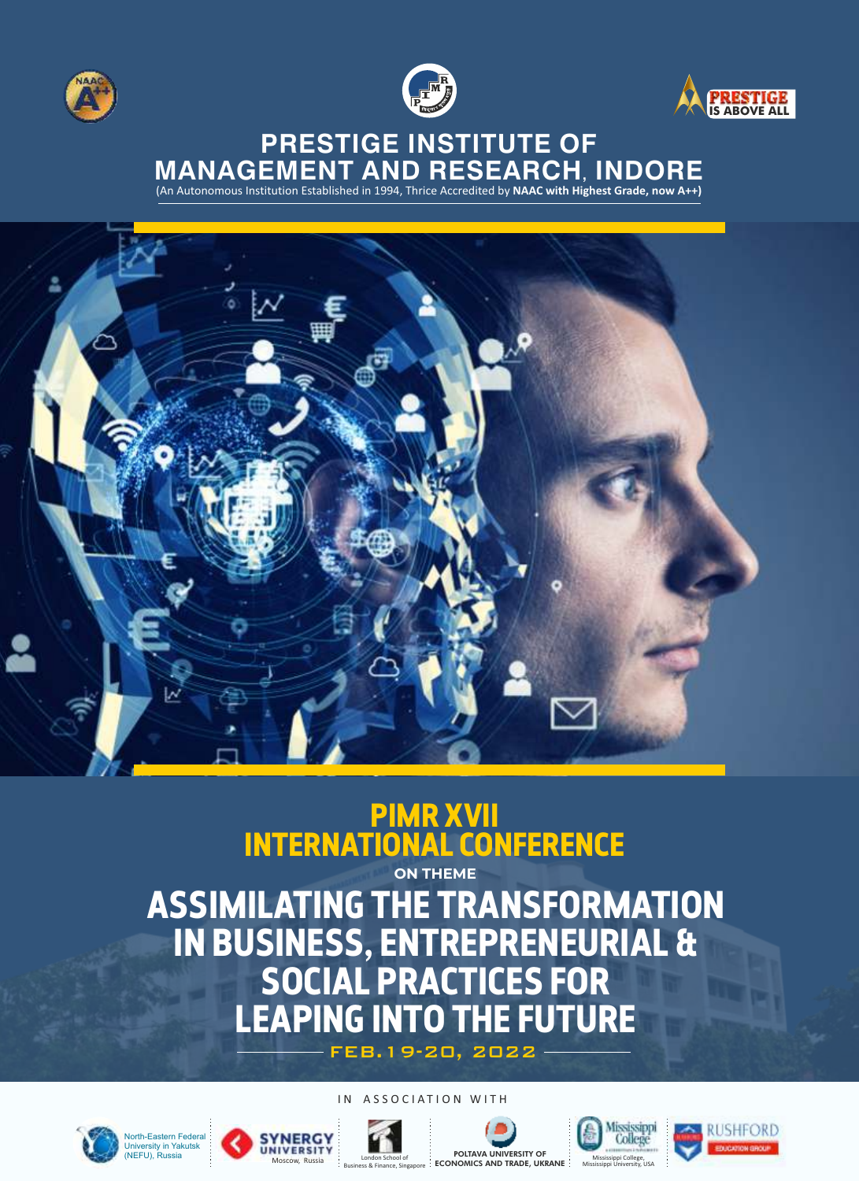





### **PRESTIGE INSTITUTE OF MANAGEMENT AND RESEARCH, INDORE**

(An Autonomous Institution Established in 1994, Thrice Accredited by **NAAC with Highest Grade, now A++)**



### **PIMR XVII INTERNATIONAL CONFERENCE**

**ASSIMILATING THE TRANSFORMATION IN BUSINESS, ENTREPRENEURIAL & SOCIAL PRACTICES FOR LEAPING INTO THE FUTURE ON THEME**

FEB.19-20, 2022

#### IN ASSOCIATION WITH













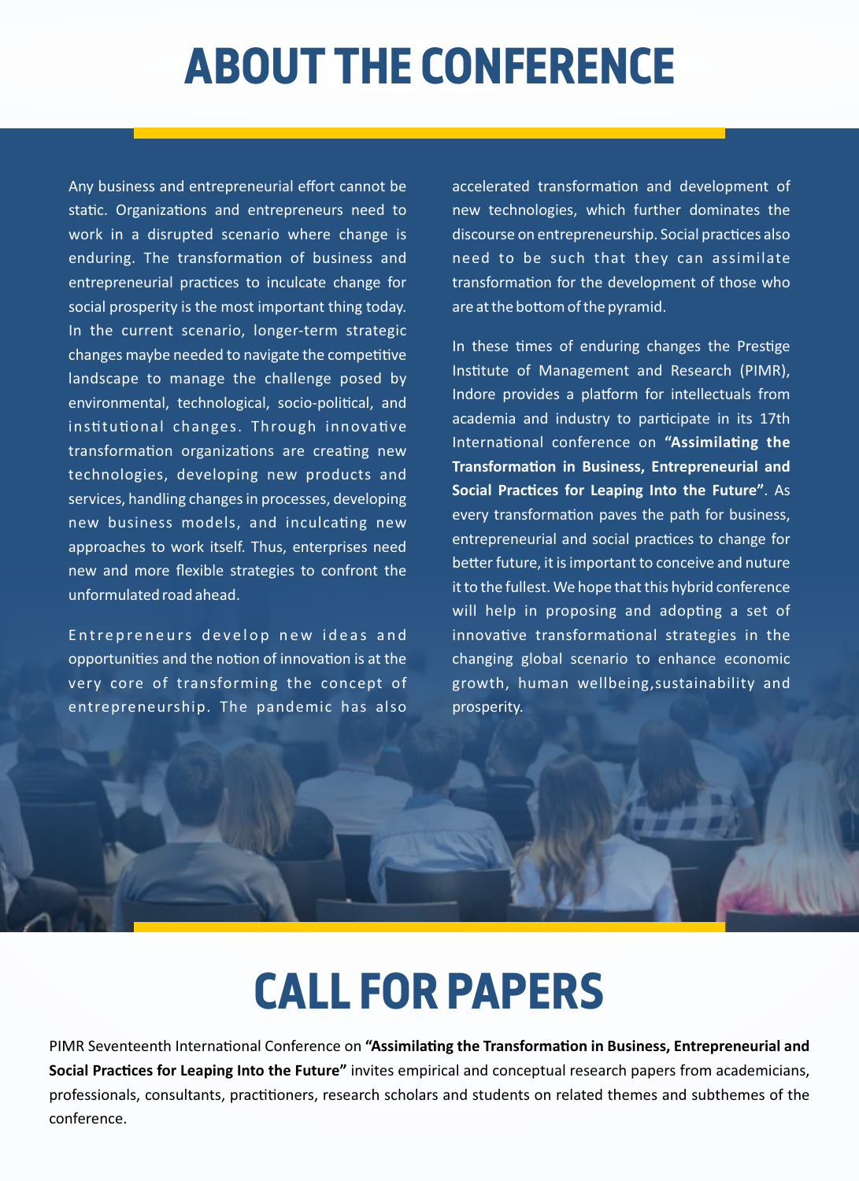# **ABOUT THE CONFERENCE**

Any business and entrepreneurial effort cannot be static. Organizations and entrepreneurs need to work in a disrupted scenario where change is enduring. The transformation of business and entrepreneurial practices to inculcate change for social prosperity is the most important thing today. In the current scenario, longer-term strategic changes maybe needed to navigate the competitive landscape to manage the challenge posed by environmental, technological, socio-political, and institutional changes. Through innovative transformation organizations are creating new technologies, developing new products and services, handling changes in processes, developing new business models, and inculcating new approaches to work itself. Thus, enterprises need new and more flexible strategies to confront the unformulated road ahead.

Entrepreneurs develop new ideas and opportunities and the notion of innovation is at the very core of transforming the concept of entrepreneurship. The pandemic has also

accelerated transformation and development of new technologies, which further dominates the discourse on entrepreneurship. Social practices also need to be such that they can assimilate transformation for the development of those who are at the bottom of the pyramid.

In these times of enduring changes the Prestige Institute of Management and Research (PIMR), Indore provides a platform for intellectuals from academia and industry to participate in its 17th International conference on "Assimilating the **Transformation in Business, Entrepreneurial and** Social Practices for Leaping Into the Future". As every transformation paves the path for business, entrepreneurial and social practices to change for better future, it is important to conceive and nuture it to the fullest. We hope that this hybrid conference will help in proposing and adopting a set of innovative transformational strategies in the changing global scenario to enhance economic growth, human wellbeing,sustainability and prosperity.

## **CALL FOR PAPERS**

PIMR Seventeenth International Conference on "Assimilating the Transformation in Business, Entrepreneurial and **Social Practices for Leaping Into the Future"** invites empirical and conceptual research papers from academicians, professionals, consultants, practitioners, research scholars and students on related themes and subthemes of the conference.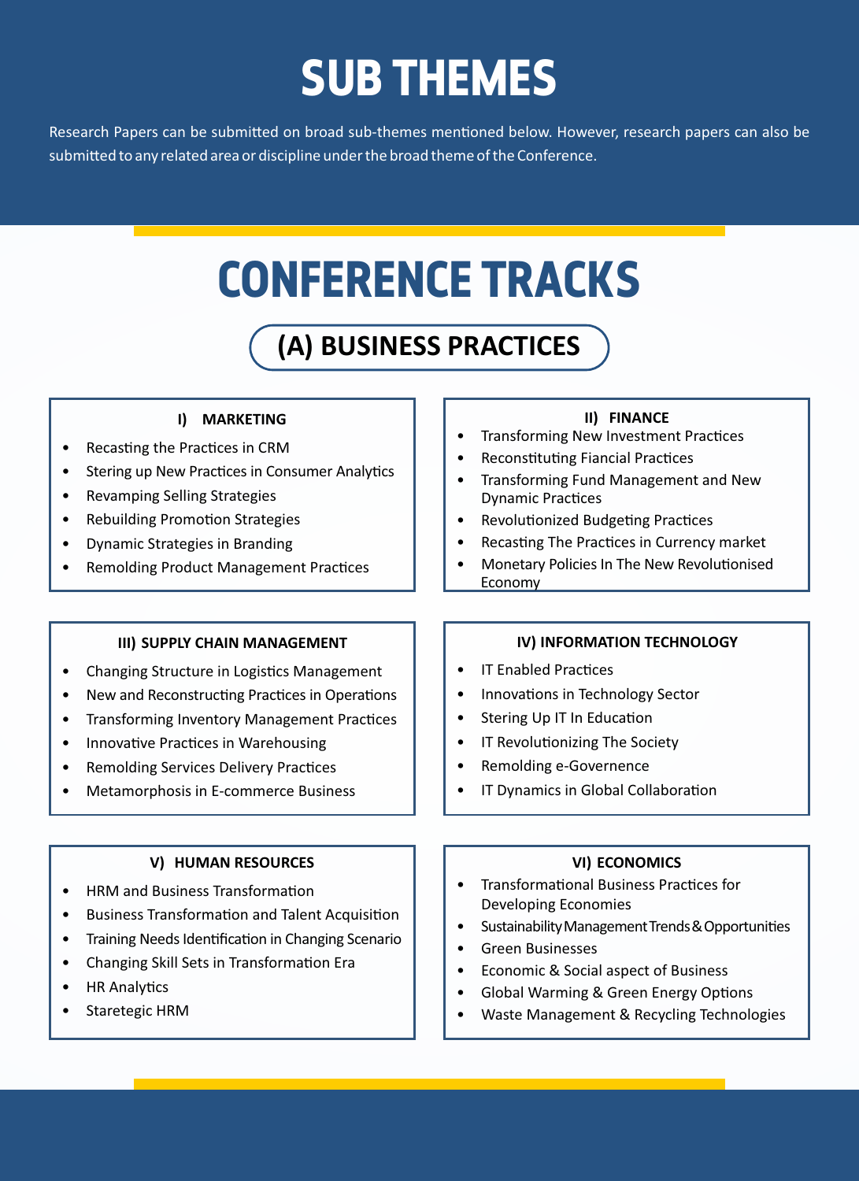# **SUB THEMES**

Research Papers can be submitted on broad sub-themes mentioned below. However, research papers can also be submitted to any related area or discipline under the broad theme of the Conference.

# **CONFERENCE TRACKS**

## **(A) BUSINESS PRACTICES**

### **I) MARKETING**

- Recasting the Practices in CRM
- Stering up New Practices in Consumer Analytics
- Revamping Selling Strategies
- Rebuilding Promotion Strategies
- Dynamic Strategies in Branding
- Remolding Product Management Practices

### **III) SUPPLY CHAIN MANAGEMENT**

- Changing Structure in Logistics Management
- New and Reconstructing Practices in Operations
- Transforming Inventory Management Practices
- Innovative Practices in Warehousing
- Remolding Services Delivery Practices
- Metamorphosis in E-commerce Business

### **V) HUMAN RESOURCES**

- HRM and Business Transformation
- Business Transformation and Talent Acquisition
- Training Needs Identification in Changing Scenario
- Changing Skill Sets in Transformation Era
- HR Analytics
- Staretegic HRM

### **II) FINANCE**

- Transforming New Investment Practices
- Reconstituting Fiancial Practices
- Transforming Fund Management and New Dynamic Practices
- Revolutionized Budgeting Practices
- Recasting The Practices in Currency market
- Monetary Policies In The New Revolutionised Economy

### **IV) INFORMATION TECHNOLOGY**

- IT Enabled Practices
- Innovations in Technology Sector
- Stering Up IT In Education
- IT Revolutionizing The Society
- Remolding e-Governence
- IT Dynamics in Global Collaboration

### **VI) ECONOMICS**

- Transformational Business Practices for Developing Economies
- Sustainability Management Trends & Opportunities
- Green Businesses
- Economic & Social aspect of Business
- Global Warming & Green Energy Options
- Waste Management & Recycling Technologies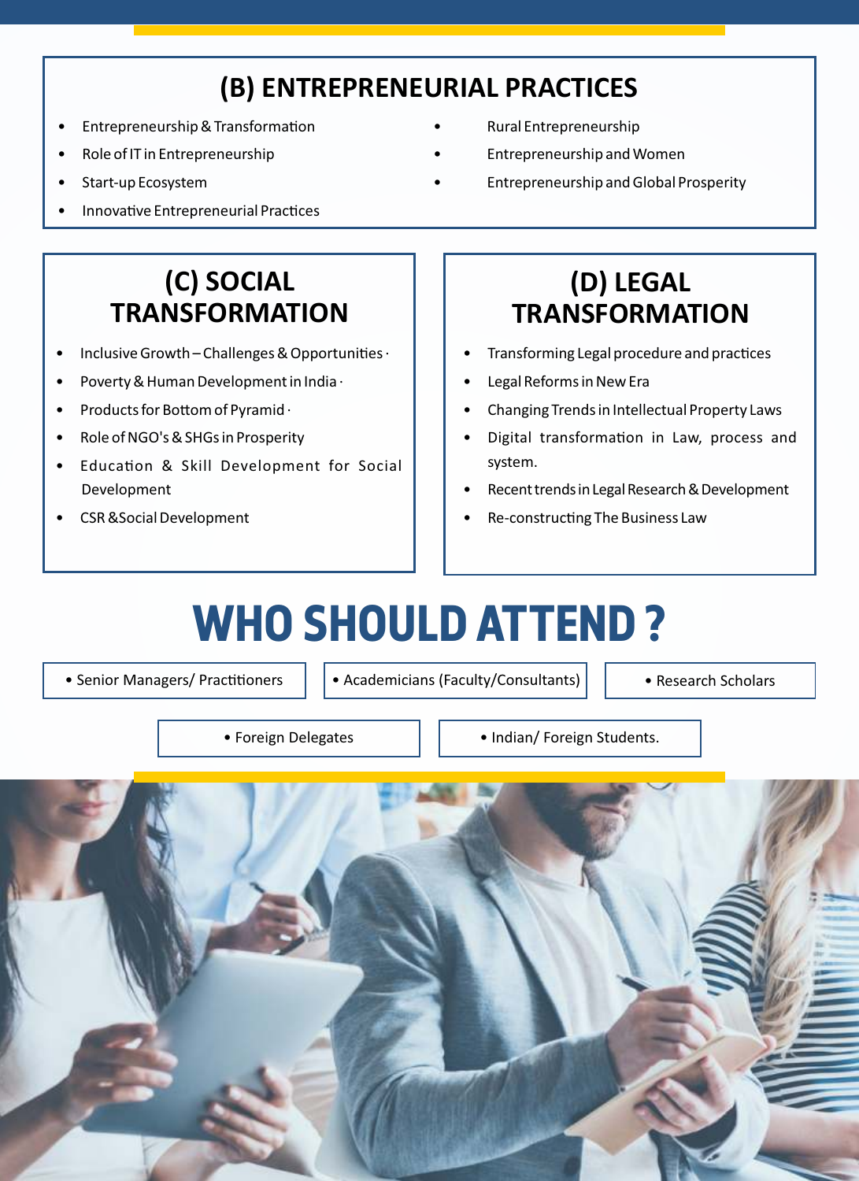## **(B) ENTREPRENEURIAL PRACTICES**

- Entrepreneurship & Transformation Rural Entrepreneurship
- 
- 
- Innovative Entrepreneurial Practices
- 
- Role of IT in Entrepreneurship **•** Entrepreneurship and Women
- Start-up Ecosystem Entrepreneurship and Global Prosperity

## **(C) SOCIAL TRANSFORMATION**

- Inclusive Growth Challenges & Opportunities  $\cdot$
- Poverty & Human Development in India ·
- Products for Bottom of Pyramid  $\cdot$
- Role of NGO's & SHGs in Prosperity
- Education & Skill Development for Social Development
- CSR &Social Development

## **(D) LEGAL TRANSFORMATION**

- Transforming Legal procedure and practices
- Legal Reforms in New Era
- Changing Trends in Intellectual Property Laws
- Digital transformation in Law, process and system.
- Recent trends in Legal Research & Development
- Re-constructing The Business Law

# **WHO SHOULD ATTEND ?**

• Senior Managers/ Practitioners  $\|\cdot\|$  • Academicians (Faculty/Consultants)  $\|\cdot\|$  • Research Scholars

• Foreign Delegates | | • Indian/ Foreign Students.

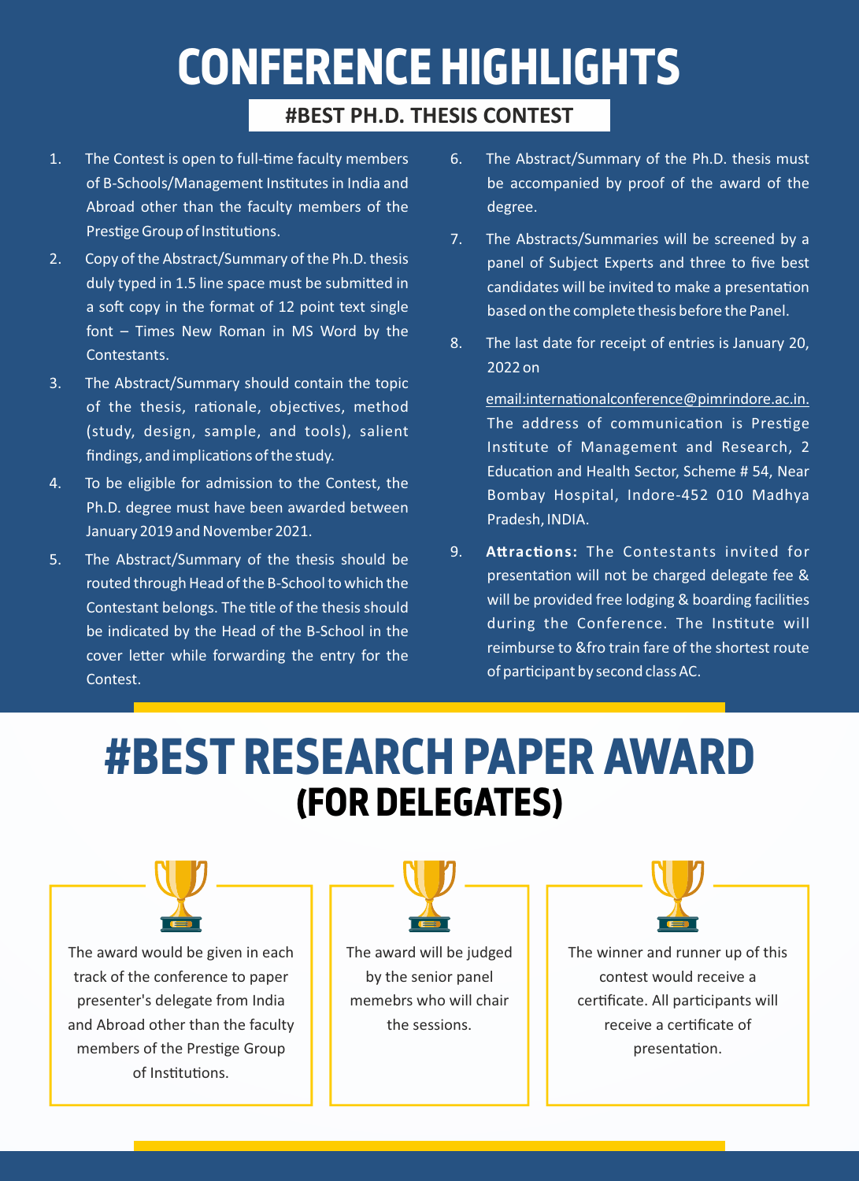# **CONFERENCE HIGHLIGHTS**

### **#BEST PH.D. THESIS CONTEST**

- 1. The Contest is open to full-time faculty members of B-Schools/Management Institutes in India and Abroad other than the faculty members of the Prestige Group of Institutions.
- 2. Copy of the Abstract/Summary of the Ph.D. thesis duly typed in 1.5 line space must be submitted in a soft copy in the format of 12 point text single font – Times New Roman in MS Word by the Contestants.
- 3. The Abstract/Summary should contain the topic of the thesis, rationale, objectives, method (study, design, sample, and tools), salient findings, and implications of the study.
- 4. To be eligible for admission to the Contest, the Ph.D. degree must have been awarded between January 2019 and November 2021.
- 5. The Abstract/Summary of the thesis should be routed through Head of the B-School to which the Contestant belongs. The title of the thesis should be indicated by the Head of the B-School in the cover letter while forwarding the entry for the Contest.
- 6. The Abstract/Summary of the Ph.D. thesis must be accompanied by proof of the award of the degree.
- 7. The Abstracts/Summaries will be screened by a panel of Subject Experts and three to five best candidates will be invited to make a presentation based on the complete thesis before the Panel.
- 8. The last date for receipt of entries is January 20, 2022 on

email:internationalconference@pimrindore.ac.in. The address of communication is Prestige Instute of Management and Research, 2 Education and Health Sector, Scheme # 54, Near Bombay Hospital, Indore-452 010 Madhya Pradesh, INDIA.

9. Attractions: The Contestants invited for presentation will not be charged delegate fee & will be provided free lodging & boarding facilities during the Conference. The Institute will reimburse to &fro train fare of the shortest route of participant by second class AC.

## **#BEST RESEARCH PAPER AWARD (FOR DELEGATES)**

The award would be given in each track of the conference to paper presenter's delegate from India and Abroad other than the faculty members of the Prestige Group of Institutions.



The award will be judged by the senior panel memebrs who will chair the sessions.

The winner and runner up of this contest would receive a certificate. All participants will

> receive a cerficate of presentation.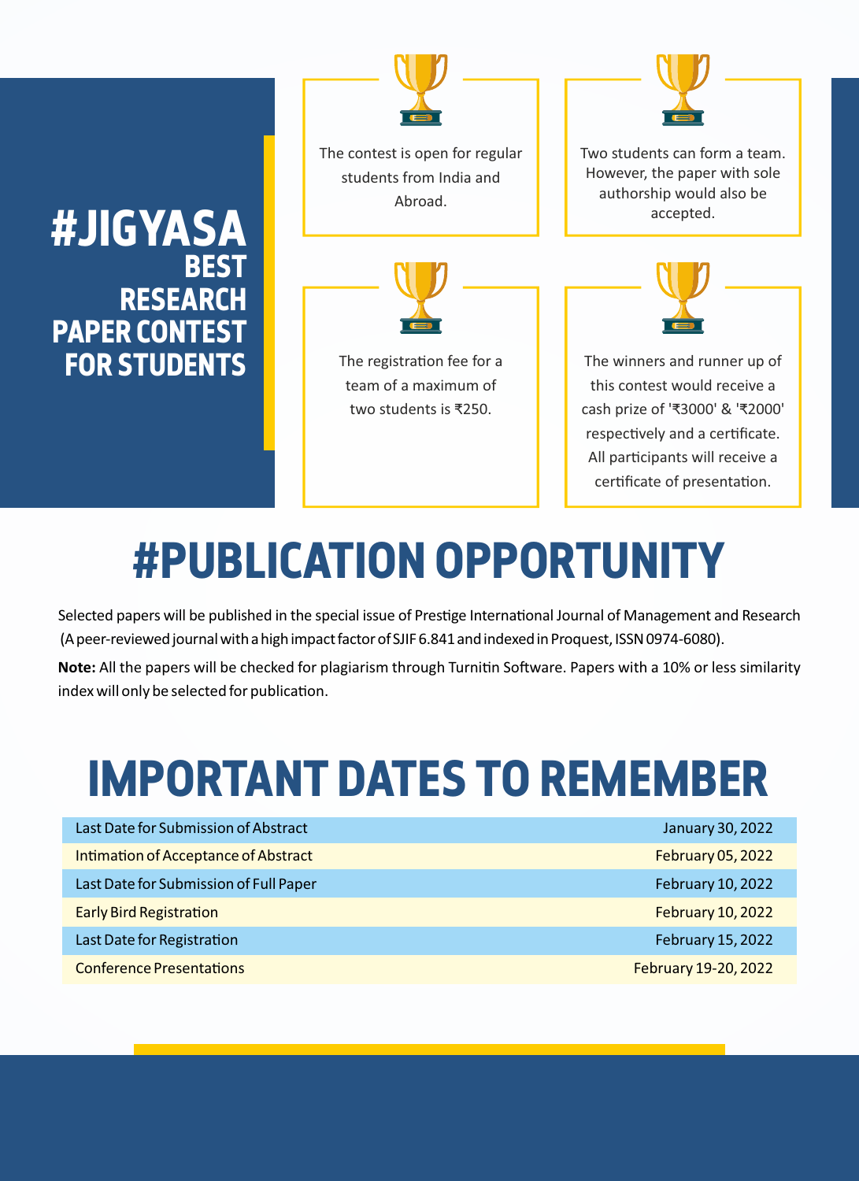## **#JIGYASA BEST RESEARCH PAPER CONTEST FOR STUDENTS**



The contest is open for regular students from India and Abroad.



### The registration fee for a team of a maximum of two students is ₹250.



Two students can form a team. However, the paper with sole authorship would also be accepted.



The winners and runner up of this contest would receive a cash prize of '₹3000' & '₹2000' respectively and a certificate. All participants will receive a certificate of presentation.

# **#PUBLICATION OPPORTUNITY**

Selected papers will be published in the special issue of Prestige International Journal of Management and Research (A peer-reviewed journal with a high impact factor of SJIF 6.841 and indexed in Proquest, ISSN 0974-6080).

Note: All the papers will be checked for plagiarism through Turnitin Software. Papers with a 10% or less similarity index will only be selected for publication.

# **IMPORTANT DATES TO REMEMBER**

| Last Date for Submission of Abstract   | January 30, 2022         |
|----------------------------------------|--------------------------|
| Intimation of Acceptance of Abstract   | <b>February 05, 2022</b> |
| Last Date for Submission of Full Paper | February 10, 2022        |
| <b>Early Bird Registration</b>         | <b>February 10, 2022</b> |
| Last Date for Registration             | February 15, 2022        |
| <b>Conference Presentations</b>        | February 19-20, 2022     |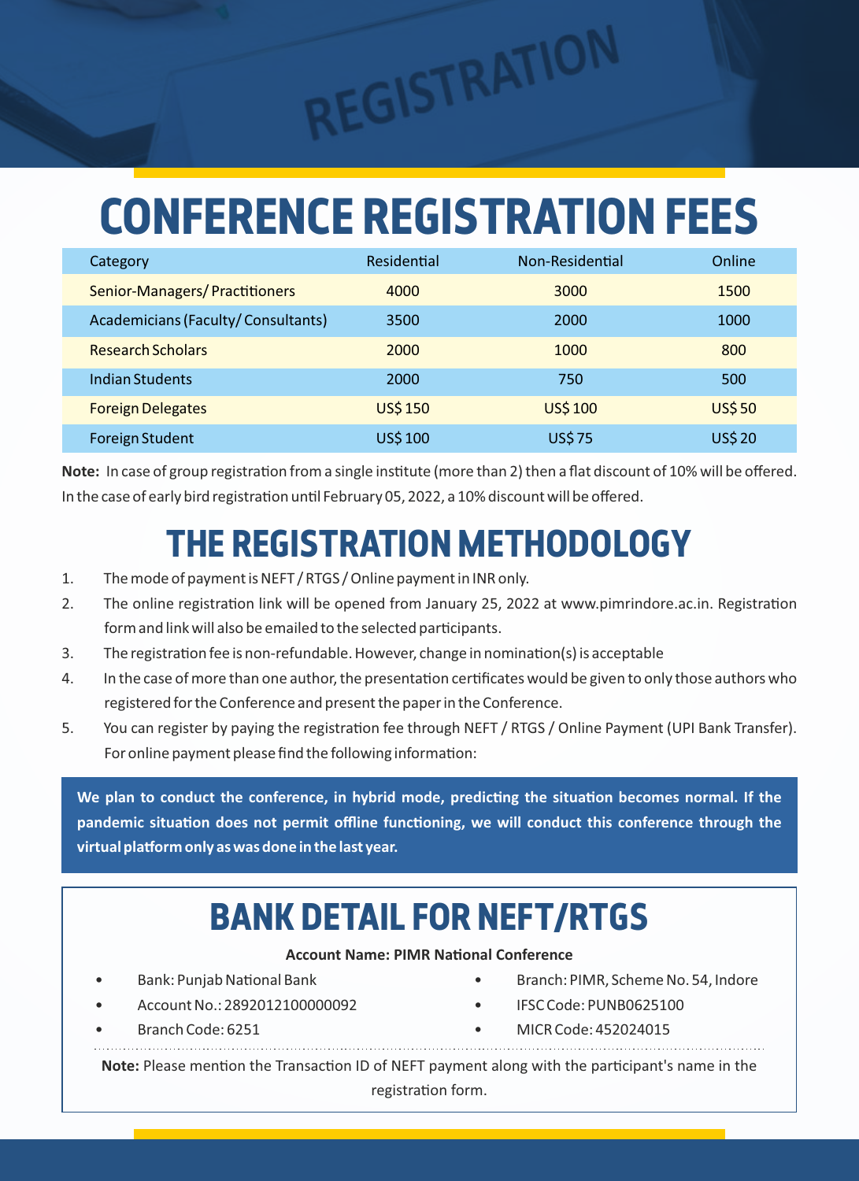# **CONFERENCE REGISTRATION FEES**

REGISTRATION

| Category                             | Residential    | Non-Residential | Online        |
|--------------------------------------|----------------|-----------------|---------------|
| <b>Senior-Managers/Practitioners</b> | 4000           | 3000            | 1500          |
| Academicians (Faculty/Consultants)   | 3500           | 2000            | 1000          |
| <b>Research Scholars</b>             | 2000           | 1000            | 800           |
| Indian Students                      | 2000           | 750             | 500           |
| <b>Foreign Delegates</b>             | <b>US\$150</b> | <b>US\$100</b>  | <b>US\$50</b> |
| Foreign Student                      | <b>US\$100</b> | <b>US\$75</b>   | <b>US\$20</b> |

**Note:** In case of group registration from a single institute (more than 2) then a flat discount of 10% will be offered. In the case of early bird registration until February 05, 2022, a 10% discount will be offered.

## **THE REGISTRATION METHODOLOGY**

- 1. The mode of payment is NEFT / RTGS / Online payment in INR only.
- 2. The online registration link will be opened from January 25, 2022 at www.pimrindore.ac.in. Registration form and link will also be emailed to the selected participants[.](http://www.pimrindore.ac.in)
- 3. The registration fee is non-refundable. However, change in nomination(s) is acceptable
- 4. In the case of more than one author, the presentation certificates would be given to only those authors who registered for the Conference and present the paper in the Conference.
- 5. You can register by paying the registration fee through NEFT / RTGS / Online Payment (UPI Bank Transfer). For online payment please find the following information:

We plan to conduct the conference, in hybrid mode, predicting the situation becomes normal. If the pandemic situation does not permit offline functioning, we will conduct this conference through the virtual platform only as was done in the last year.

## **BANK DETAIL FOR NEFT/RTGS**

**Account Name: PIMR National Conference** 

- 
- Account No.: 2892012100000092 IFSC Code: PUNB0625100
- 
- Bank: Punjab Naonal Bank Branch: PIMR, Scheme No. 54, Indore
	-
	- Branch Code: 6251 MICR Code: 452024015

**Note:** Please mention the Transaction ID of NEFT payment along with the participant's name in the registration form.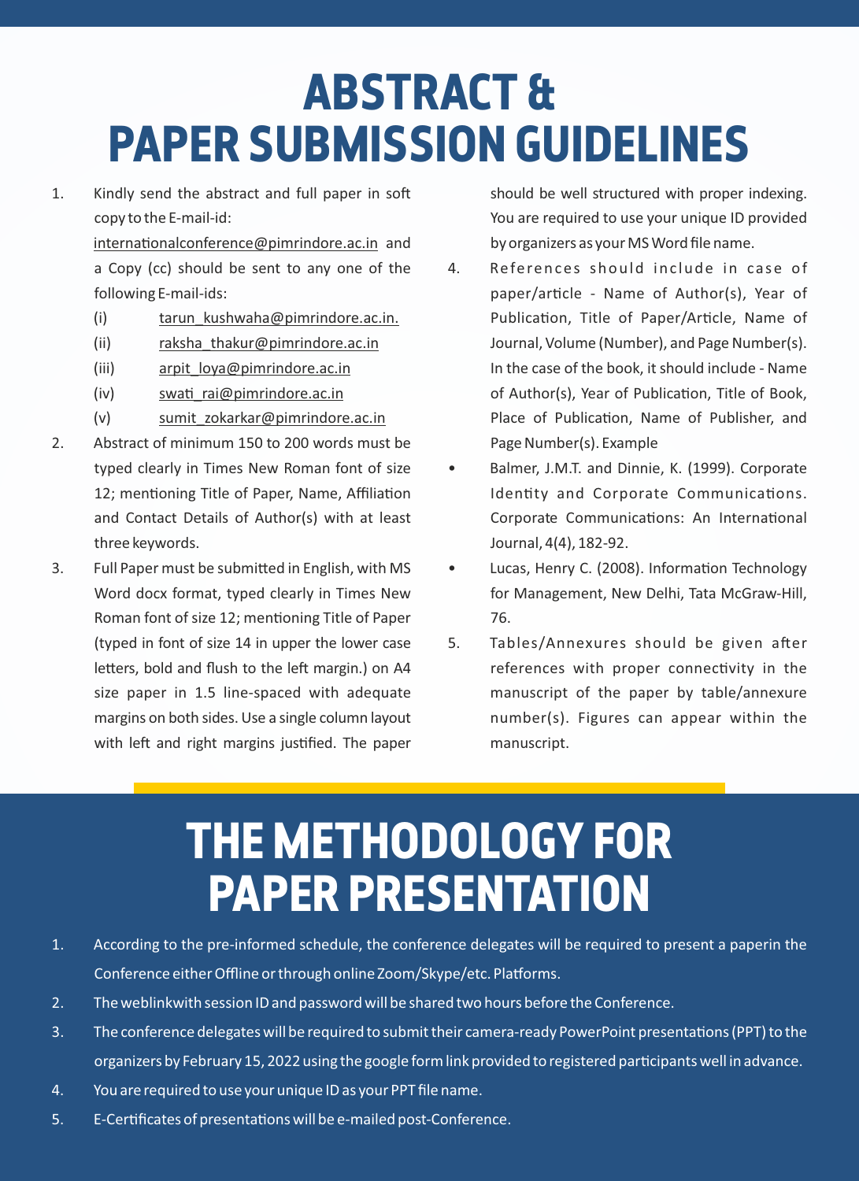# **ABSTRACT & PAPER SUBMISSION GUIDELINES**

1. Kindly send the abstract and full paper in soft copy to the E-mail-id:

> $intermational conference@pimrindore.ac.in and$ a Copy (cc) should be sent to any one of the following E-mail-ids:

- (i) tarun kushwaha@pimrindore.ac.in.
- (ii) raksha thakur@pimrindore.ac.in
- (iii) arpit\_loya@pimrindore.ac.in
- $(iv)$  swati rai@pimrindore.ac.in
- (v) sumit\_zokarkar@pimrindore.ac.in
- 2. Abstract of minimum 150 to 200 words must be typed clearly in Times New Roman font of size 12; mentioning Title of Paper, Name, Affiliation and Contact Details of Author(s) with at least three keywords.
- 3. Full Paper must be submitted in English, with MS Word docx format, typed clearly in Times New Roman font of size 12; mentioning Title of Paper (typed in font of size 14 in upper the lower case letters, bold and flush to the left margin.) on A4 size paper in 1.5 line-spaced with adequate margins on both sides. Use a single column layout with left and right margins justified. The paper

should be well structured with proper indexing. You are required to use your unique ID provided by organizers as your MS Word file name.

- 4. References should include in case of paper/article - Name of Author(s), Year of Publication, Title of Paper/Article, Name of Journal, Volume (Number), and Page Number(s). In the case of the book, it should include - Name of Author(s), Year of Publication, Title of Book, Place of Publication, Name of Publisher, and Page Number(s). Example
- Balmer, J.M.T. and Dinnie, K. (1999). Corporate Identity and Corporate Communications. Corporate Communications: An International Journal, 4(4), 182-92.
- Lucas, Henry C. (2008). Information Technology for Management, New Delhi, Tata McGraw-Hill, 76.
- 5. Tables/Annexures should be given after references with proper connectivity in the manuscript of the paper by table/annexure number(s). Figures can appear within the manuscript.

# **THE METHODOLOGY FOR PAPER PRESENTATION**

- 1. According to the pre-informed schedule, the conference delegates will be required to present a paperin the Conference either Offline or through online Zoom/Skype/etc. Platforms.
- 2. The weblinkwith session ID and password will be shared two hours before the Conference.
- 3. The conference delegates will be required to submit their camera-ready PowerPoint presentations (PPT) to the organizers by February 15, 2022 using the google form link provided to registered participants well in advance.
- 4. You are required to use your unique ID as your PPT file name.
- 5. E-Certificates of presentations will be e-mailed post-Conference.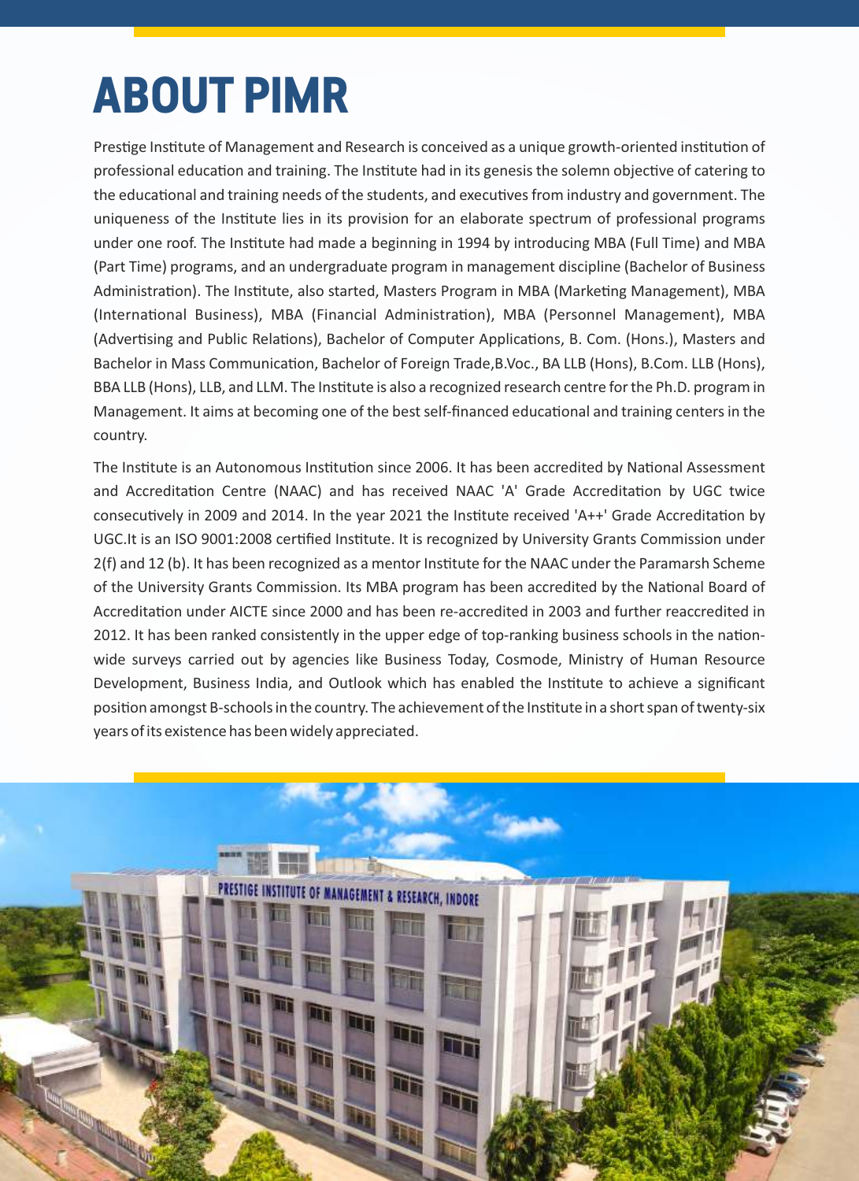# **ABOUT PIMR**

Prestige Institute of Management and Research is conceived as a unique growth-oriented institution of professional education and training. The Institute had in its genesis the solemn objective of catering to the educational and training needs of the students, and executives from industry and government. The uniqueness of the Institute lies in its provision for an elaborate spectrum of professional programs under one roof. The Institute had made a beginning in 1994 by introducing MBA (Full Time) and MBA (Part Time) programs, and an undergraduate program in management discipline (Bachelor of Business Administration). The Institute, also started, Masters Program in MBA (Marketing Management), MBA (International Business), MBA (Financial Administration), MBA (Personnel Management), MBA (Advertising and Public Relations), Bachelor of Computer Applications, B. Com. (Hons.), Masters and Bachelor in Mass Communication, Bachelor of Foreign Trade, B.Voc., BA LLB (Hons), B.Com. LLB (Hons), BBA LLB (Hons), LLB, and LLM. The Institute is also a recognized research centre for the Ph.D. program in Management. It aims at becoming one of the best self-financed educational and training centers in the country.

The Institute is an Autonomous Institution since 2006. It has been accredited by National Assessment and Accreditation Centre (NAAC) and has received NAAC 'A' Grade Accreditation by UGC twice consecutively in 2009 and 2014. In the year 2021 the Institute received 'A++' Grade Accreditation by UGC.It is an ISO 9001:2008 certified Institute. It is recognized by University Grants Commission under 2(f) and 12 (b). It has been recognized as a mentor Instute for the NAAC under the Paramarsh Scheme of the University Grants Commission. Its MBA program has been accredited by the National Board of Accreditation under AICTE since 2000 and has been re-accredited in 2003 and further reaccredited in 2012. It has been ranked consistently in the upper edge of top-ranking business schools in the nationwide surveys carried out by agencies like Business Today, Cosmode, Ministry of Human Resource Development, Business India, and Outlook which has enabled the Institute to achieve a significant position amongst B-schools in the country. The achievement of the Institute in a short span of twenty-six years of its existence has been widely appreciated.